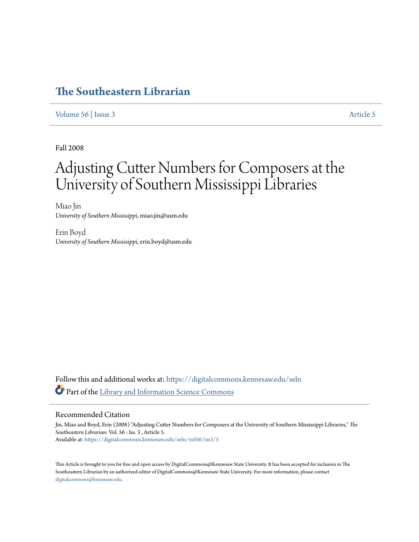# **[The Southeastern Librarian](https://digitalcommons.kennesaw.edu/seln?utm_source=digitalcommons.kennesaw.edu%2Fseln%2Fvol56%2Fiss3%2F5&utm_medium=PDF&utm_campaign=PDFCoverPages)**

[Volume 56](https://digitalcommons.kennesaw.edu/seln/vol56?utm_source=digitalcommons.kennesaw.edu%2Fseln%2Fvol56%2Fiss3%2F5&utm_medium=PDF&utm_campaign=PDFCoverPages) | [Issue 3](https://digitalcommons.kennesaw.edu/seln/vol56/iss3?utm_source=digitalcommons.kennesaw.edu%2Fseln%2Fvol56%2Fiss3%2F5&utm_medium=PDF&utm_campaign=PDFCoverPages) [Article 5](https://digitalcommons.kennesaw.edu/seln/vol56/iss3/5?utm_source=digitalcommons.kennesaw.edu%2Fseln%2Fvol56%2Fiss3%2F5&utm_medium=PDF&utm_campaign=PDFCoverPages)

Fall 2008

# Adjusting Cutter Numbers for Composers at the University of Southern Mississippi Libraries

Miao Jin *University of Southern Mississippi*, miao.jin@usm.edu

Erin Boyd *University of Southern Mississippi*, erin.boyd@usm.edu

Follow this and additional works at: [https://digitalcommons.kennesaw.edu/seln](https://digitalcommons.kennesaw.edu/seln?utm_source=digitalcommons.kennesaw.edu%2Fseln%2Fvol56%2Fiss3%2F5&utm_medium=PDF&utm_campaign=PDFCoverPages) Part of the [Library and Information Science Commons](http://network.bepress.com/hgg/discipline/1018?utm_source=digitalcommons.kennesaw.edu%2Fseln%2Fvol56%2Fiss3%2F5&utm_medium=PDF&utm_campaign=PDFCoverPages)

#### Recommended Citation

Jin, Miao and Boyd, Erin (2008) "Adjusting Cutter Numbers for Composers at the University of Southern Mississippi Libraries," *The Southeastern Librarian*: Vol. 56 : Iss. 3 , Article 5. Available at: [https://digitalcommons.kennesaw.edu/seln/vol56/iss3/5](https://digitalcommons.kennesaw.edu/seln/vol56/iss3/5?utm_source=digitalcommons.kennesaw.edu%2Fseln%2Fvol56%2Fiss3%2F5&utm_medium=PDF&utm_campaign=PDFCoverPages)

This Article is brought to you for free and open access by DigitalCommons@Kennesaw State University. It has been accepted for inclusion in The Southeastern Librarian by an authorized editor of DigitalCommons@Kennesaw State University. For more information, please contact [digitalcommons@kennesaw.edu.](mailto:digitalcommons@kennesaw.edu)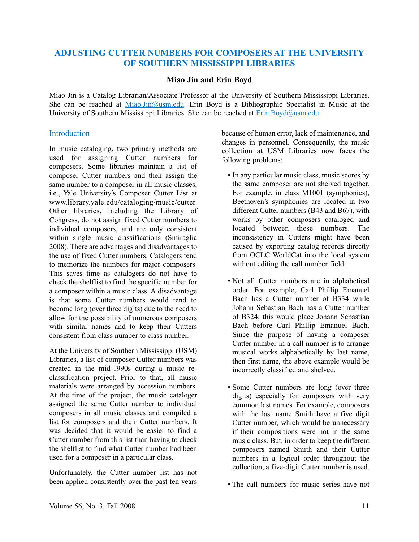# **ADJUSTING CUTTER NUMBERS FOR COMPOSERS AT THE UNIVERSITY OF SOUTHERN MISSISSIPPI LIBRARIES**

#### **Miao Jin and Erin Boyd**

Miao Jin is a Catalog Librarian/Associate Professor at the University of Southern Mississippi Libraries. She can be reached at Miao.Jin@usm.edu. Erin Boyd is a Bibliographic Specialist in Music at the University of Southern Mississippi Libraries. She can be reached at **Erin.Boyd@usm.edu.** 

#### **Introduction**

In music cataloging, two primary methods are used for assigning Cutter numbers for composers. Some libraries maintain a list of composer Cutter numbers and then assign the same number to a composer in all music classes, i.e., Yale University's Composer Cutter List at www.library.yale.edu/cataloging/music/cutter. Other libraries, including the Library of Congress, do not assign fixed Cutter numbers to individual composers, and are only consistent within single music classifications (Smiraglia 2008). There are advantages and disadvantages to the use of fixed Cutter numbers. Catalogers tend to memorize the numbers for major composers. This saves time as catalogers do not have to check the shelflist to find the specific number for a composer within a music class. A disadvantage is that some Cutter numbers would tend to become long (over three digits) due to the need to allow for the possibility of numerous composers with similar names and to keep their Cutters consistent from class number to class number.

At the University of Southern Mississippi (USM) Libraries, a list of composer Cutter numbers was created in the mid-1990s during a music reclassification project. Prior to that, all music materials were arranged by accession numbers. At the time of the project, the music cataloger assigned the same Cutter number to individual composers in all music classes and compiled a list for composers and their Cutter numbers. It was decided that it would be easier to find a Cutter number from this list than having to check the shelflist to find what Cutter number had been used for a composer in a particular class.

Unfortunately, the Cutter number list has not been applied consistently over the past ten years because of human error, lack of maintenance, and changes in personnel. Consequently, the music collection at USM Libraries now faces the following problems:

- In any particular music class, music scores by the same composer are not shelved together. For example, in class M1001 (symphonies), Beethoven's symphonies are located in two different Cutter numbers (B43 and B67), with works by other composers cataloged and located between these numbers. The inconsistency in Cutters might have been caused by exporting catalog records directly from OCLC WorldCat into the local system without editing the call number field.
- Not all Cutter numbers are in alphabetical order. For example, Carl Phillip Emanuel Bach has a Cutter number of B334 while Johann Sebastian Bach has a Cutter number of B324; this would place Johann Sebastian Bach before Carl Phillip Emanuel Bach. Since the purpose of having a composer Cutter number in a call number is to arrange musical works alphabetically by last name, then first name, the above example would be incorrectly classified and shelved.
- Some Cutter numbers are long (over three digits) especially for composers with very common last names. For example, composers with the last name Smith have a five digit Cutter number, which would be unnecessary if their compositions were not in the same music class. But, in order to keep the different composers named Smith and their Cutter numbers in a logical order throughout the collection, a five-digit Cutter number is used.
- The call numbers for music series have not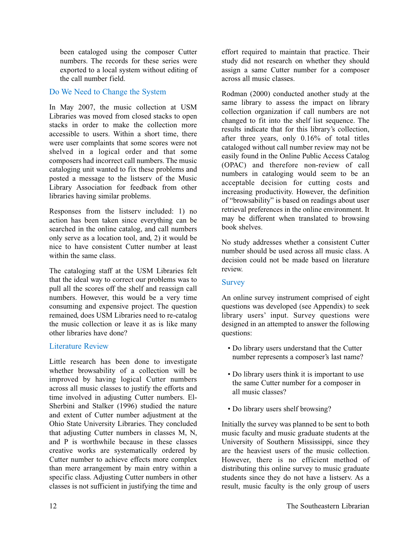been cataloged using the composer Cutter numbers. The records for these series were exported to a local system without editing of the call number field.

# Do We Need to Change the System

In May 2007, the music collection at USM Libraries was moved from closed stacks to open stacks in order to make the collection more accessible to users. Within a short time, there were user complaints that some scores were not shelved in a logical order and that some composers had incorrect call numbers. The music cataloging unit wanted to fix these problems and posted a message to the listserv of the Music Library Association for feedback from other libraries having similar problems.

Responses from the listserv included: 1) no action has been taken since everything can be searched in the online catalog, and call numbers only serve as a location tool, and, 2) it would be nice to have consistent Cutter number at least within the same class.

The cataloging staff at the USM Libraries felt that the ideal way to correct our problems was to pull all the scores off the shelf and reassign call numbers. However, this would be a very time consuming and expensive project. The question remained, does USM Libraries need to re-catalog the music collection or leave it as is like many other libraries have done?

## Literature Review

Little research has been done to investigate whether browsability of a collection will be improved by having logical Cutter numbers across all music classes to justify the efforts and time involved in adjusting Cutter numbers. El-Sherbini and Stalker (1996) studied the nature and extent of Cutter number adjustment at the Ohio State University Libraries. They concluded that adjusting Cutter numbers in classes M, N, and P is worthwhile because in these classes creative works are systematically ordered by Cutter number to achieve effects more complex than mere arrangement by main entry within a specific class. Adjusting Cutter numbers in other classes is not sufficient in justifying the time and

effort required to maintain that practice. Their study did not research on whether they should assign a same Cutter number for a composer across all music classes.

Rodman (2000) conducted another study at the same library to assess the impact on library collection organization if call numbers are not changed to fit into the shelf list sequence. The results indicate that for this library's collection, after three years, only 0.16% of total titles cataloged without call number review may not be easily found in the Online Public Access Catalog (OPAC) and therefore non-review of call numbers in cataloging would seem to be an acceptable decision for cutting costs and increasing productivity. However, the definition of "browsability" is based on readings about user retrieval preferences in the online environment. It may be different when translated to browsing book shelves.

No study addresses whether a consistent Cutter number should be used across all music class. A decision could not be made based on literature review.

#### **Survey**

An online survey instrument comprised of eight questions was developed (see Appendix) to seek library users' input. Survey questions were designed in an attempted to answer the following questions:

- Do library users understand that the Cutter number represents a composer's last name?
- Do library users think it is important to use the same Cutter number for a composer in all music classes?
- Do library users shelf browsing?

Initially the survey was planned to be sent to both music faculty and music graduate students at the University of Southern Mississippi, since they are the heaviest users of the music collection. However, there is no efficient method of distributing this online survey to music graduate students since they do not have a listserv. As a result, music faculty is the only group of users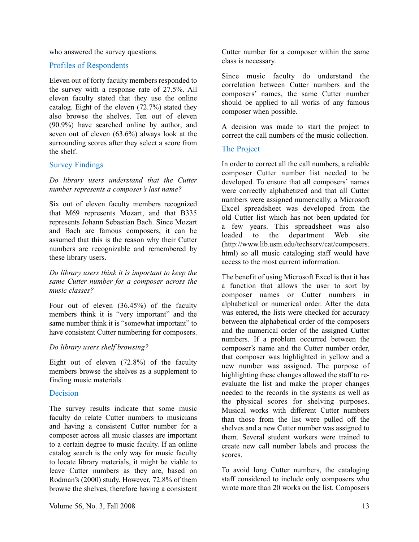who answered the survey questions.

#### Profiles of Respondents

Eleven out of forty faculty members responded to the survey with a response rate of 27.5%. All eleven faculty stated that they use the online catalog. Eight of the eleven (72.7%) stated they also browse the shelves. Ten out of eleven (90.9%) have searched online by author, and seven out of eleven (63.6%) always look at the surrounding scores after they select a score from the shelf.

## Survey Findings

*Do library users understand that the Cutter number represents a composer's last name?*

Six out of eleven faculty members recognized that M69 represents Mozart, and that B335 represents Johann Sebastian Bach. Since Mozart and Bach are famous composers, it can be assumed that this is the reason why their Cutter numbers are recognizable and remembered by these library users.

*Do library users think it is important to keep the same Cutter number for a composer across the music classes?*

Four out of eleven (36.45%) of the faculty members think it is "very important" and the same number think it is "somewhat important" to have consistent Cutter numbering for composers.

#### *Do library users shelf browsing?*

Eight out of eleven (72.8%) of the faculty members browse the shelves as a supplement to finding music materials.

## Decision

The survey results indicate that some music faculty do relate Cutter numbers to musicians and having a consistent Cutter number for a composer across all music classes are important to a certain degree to music faculty. If an online catalog search is the only way for music faculty to locate library materials, it might be viable to leave Cutter numbers as they are, based on Rodman's (2000) study. However, 72.8% of them browse the shelves, therefore having a consistent

Since music faculty do understand the correlation between Cutter numbers and the composers' names, the same Cutter number should be applied to all works of any famous composer when possible.

A decision was made to start the project to correct the call numbers of the music collection.

# The Project

In order to correct all the call numbers, a reliable composer Cutter number list needed to be developed. To ensure that all composers' names were correctly alphabetized and that all Cutter numbers were assigned numerically, a Microsoft Excel spreadsheet was developed from the old Cutter list which has not been updated for a few years. This spreadsheet was also loaded to the department Web site (http://www.lib.usm.edu/techserv/cat/composers. html) so all music cataloging staff would have access to the most current information.

The benefit of using Microsoft Excel is that it has a function that allows the user to sort by composer names or Cutter numbers in alphabetical or numerical order. After the data was entered, the lists were checked for accuracy between the alphabetical order of the composers and the numerical order of the assigned Cutter numbers. If a problem occurred between the composer's name and the Cutter number order, that composer was highlighted in yellow and a new number was assigned. The purpose of highlighting these changes allowed the staff to reevaluate the list and make the proper changes needed to the records in the systems as well as the physical scores for shelving purposes. Musical works with different Cutter numbers than those from the list were pulled off the shelves and a new Cutter number was assigned to them. Several student workers were trained to create new call number labels and process the scores.

To avoid long Cutter numbers, the cataloging staff considered to include only composers who wrote more than 20 works on the list. Composers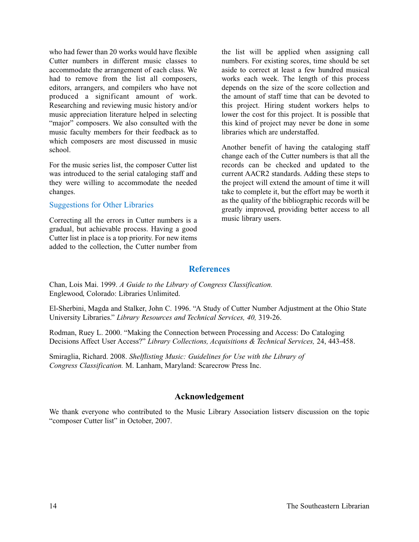who had fewer than 20 works would have flexible Cutter numbers in different music classes to accommodate the arrangement of each class. We had to remove from the list all composers, editors, arrangers, and compilers who have not produced a significant amount of work. Researching and reviewing music history and/or music appreciation literature helped in selecting "major" composers. We also consulted with the music faculty members for their feedback as to which composers are most discussed in music school.

For the music series list, the composer Cutter list was introduced to the serial cataloging staff and they were willing to accommodate the needed changes.

#### Suggestions for Other Libraries

Correcting all the errors in Cutter numbers is a gradual, but achievable process. Having a good Cutter list in place is a top priority. For new items added to the collection, the Cutter number from

the list will be applied when assigning call numbers. For existing scores, time should be set aside to correct at least a few hundred musical works each week. The length of this process depends on the size of the score collection and the amount of staff time that can be devoted to this project. Hiring student workers helps to lower the cost for this project. It is possible that this kind of project may never be done in some libraries which are understaffed.

Another benefit of having the cataloging staff change each of the Cutter numbers is that all the records can be checked and updated to the current AACR2 standards. Adding these steps to the project will extend the amount of time it will take to complete it, but the effort may be worth it as the quality of the bibliographic records will be greatly improved, providing better access to all music library users.

#### **References**

Chan, Lois Mai. 1999. *A Guide to the Library of Congress Classification.* Englewood, Colorado: Libraries Unlimited.

El-Sherbini, Magda and Stalker, John C. 1996. "A Study of Cutter Number Adjustment at the Ohio State University Libraries." *Library Resources and Technical Services, 40,* 319-26.

Rodman, Ruey L. 2000. "Making the Connection between Processing and Access: Do Cataloging Decisions Affect User Access?" *Library Collections, Acquisitions & Technical Services,* 24, 443-458.

Smiraglia, Richard. 2008. *Shelflisting Music: Guidelines for Use with the Library of Congress Classification.* M. Lanham, Maryland: Scarecrow Press Inc.

# **Acknowledgement**

We thank everyone who contributed to the Music Library Association listserv discussion on the topic "composer Cutter list" in October, 2007.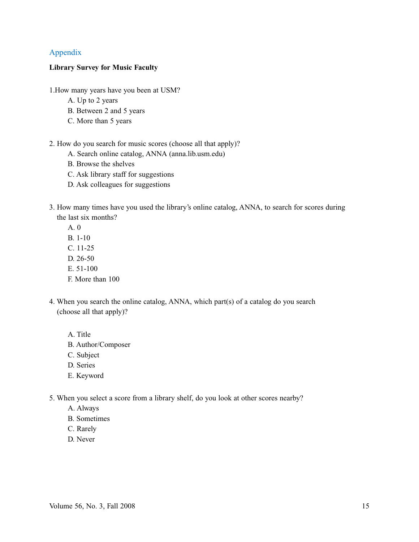# Appendix

#### **Library Survey for Music Faculty**

- 1.How many years have you been at USM?
	- A. Up to 2 years
	- B. Between 2 and 5 years
	- C. More than 5 years
- 2. How do you search for music scores (choose all that apply)?
	- A. Search online catalog, ANNA (anna.lib.usm.edu)
	- B. Browse the shelves
	- C. Ask library staff for suggestions
	- D. Ask colleagues for suggestions
- 3. How many times have you used the library's online catalog, ANNA, to search for scores during the last six months?
	- A. 0
	- B. 1-10
	- C. 11-25
	- D. 26-50
	- E. 51-100
	- F. More than 100
- 4. When you search the online catalog, ANNA, which part(s) of a catalog do you search (choose all that apply)?
	- A. Title
	- B. Author/Composer
	- C. Subject
	- D. Series
	- E. Keyword
- 5. When you select a score from a library shelf, do you look at other scores nearby?
	- A. Always
	- B. Sometimes
	- C. Rarely
	- D. Never